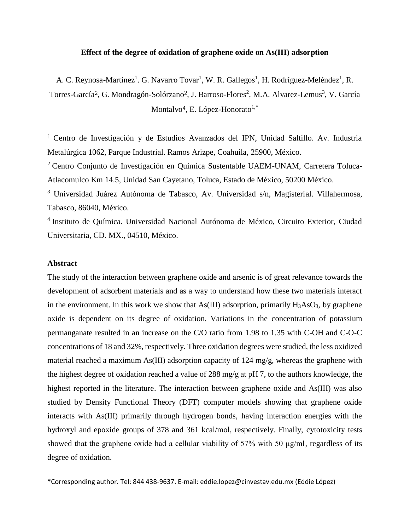# **Effect of the degree of oxidation of graphene oxide on As(III) adsorption**

A. C. Reynosa-Martínez<sup>1</sup>. G. Navarro Tovar<sup>1</sup>, W. R. Gallegos<sup>1</sup>, H. Rodríguez-Meléndez<sup>1</sup>, R.

Torres-García<sup>2</sup>, G. Mondragón-Solórzano<sup>2</sup>, J. Barroso-Flores<sup>2</sup>, M.A. Alvarez-Lemus<sup>3</sup>, V. García Montalvo<sup>4</sup>, E. López-Honorato<sup>1,\*</sup>

<sup>1</sup>Centro de Investigación y de Estudios Avanzados del IPN, Unidad Saltillo. Av. Industria Metalúrgica 1062, Parque Industrial. Ramos Arizpe, Coahuila, 25900, México.

<sup>2</sup>Centro Conjunto de Investigación en Química Sustentable UAEM-UNAM, Carretera Toluca-Atlacomulco Km 14.5, Unidad San Cayetano, Toluca, Estado de México, 50200 México.

<sup>3</sup> Universidad Juárez Autónoma de Tabasco, Av. Universidad s/n, Magisterial. Villahermosa, Tabasco, 86040, México.

<sup>4</sup> Instituto de Química. Universidad Nacional Autónoma de México, Circuito Exterior, Ciudad Universitaria, CD. MX., 04510, México.

# **Abstract**

The study of the interaction between graphene oxide and arsenic is of great relevance towards the development of adsorbent materials and as a way to understand how these two materials interact in the environment. In this work we show that As(III) adsorption, primarily  $H_3AsO_3$ , by graphene oxide is dependent on its degree of oxidation. Variations in the concentration of potassium permanganate resulted in an increase on the C/O ratio from 1.98 to 1.35 with C-OH and C-O-C concentrations of 18 and 32%, respectively. Three oxidation degrees were studied, the less oxidized material reached a maximum As(III) adsorption capacity of 124 mg/g, whereas the graphene with the highest degree of oxidation reached a value of 288 mg/g at pH 7, to the authors knowledge, the highest reported in the literature. The interaction between graphene oxide and As(III) was also studied by Density Functional Theory (DFT) computer models showing that graphene oxide interacts with As(III) primarily through hydrogen bonds, having interaction energies with the hydroxyl and epoxide groups of 378 and 361 kcal/mol, respectively. Finally, cytotoxicity tests showed that the graphene oxide had a cellular viability of 57% with 50 μg/ml, regardless of its degree of oxidation.

\*Corresponding author. Tel: 844 438-9637. E-mail: [eddie.lopez@cinvestav.edu.mx](mailto:eddie.lopez@cinvestav.edu.mx) (Eddie López)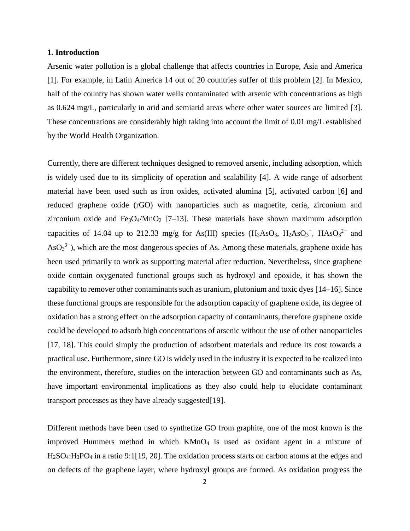### **1. Introduction**

Arsenic water pollution is a global challenge that affects countries in Europe, Asia and America [1]. For example, in Latin America 14 out of 20 countries suffer of this problem [2]. In Mexico, half of the country has shown water wells contaminated with arsenic with concentrations as high as 0.624 mg/L, particularly in arid and semiarid areas where other water sources are limited [3]. These concentrations are considerably high taking into account the limit of 0.01 mg/L established by the World Health Organization.

Currently, there are different techniques designed to removed arsenic, including adsorption, which is widely used due to its simplicity of operation and scalability [4]. A wide range of adsorbent material have been used such as iron oxides, activated alumina [5], activated carbon [6] and reduced graphene oxide (rGO) with nanoparticles such as magnetite, ceria, zirconium and zirconium oxide and  $Fe<sub>3</sub>O<sub>4</sub>/MnO<sub>2</sub>$  [7–13]. These materials have shown maximum adsorption capacities of 14.04 up to 212.33 mg/g for As(III) species  $(H_3AsO_3, H_2AsO_3^-$ ,  $HAsO_3^{2-}$  and  $\text{AsO}_3^{3-}$ ), which are the most dangerous species of As. Among these materials, graphene oxide has been used primarily to work as supporting material after reduction. Nevertheless, since graphene oxide contain oxygenated functional groups such as hydroxyl and epoxide, it has shown the capability to remover other contaminants such as uranium, plutonium and toxic dyes [14–16]. Since these functional groups are responsible for the adsorption capacity of graphene oxide, its degree of oxidation has a strong effect on the adsorption capacity of contaminants, therefore graphene oxide could be developed to adsorb high concentrations of arsenic without the use of other nanoparticles [17, 18]. This could simply the production of adsorbent materials and reduce its cost towards a practical use. Furthermore, since GO is widely used in the industry it is expected to be realized into the environment, therefore, studies on the interaction between GO and contaminants such as As, have important environmental implications as they also could help to elucidate contaminant transport processes as they have already suggested[19].

Different methods have been used to synthetize GO from graphite, one of the most known is the improved Hummers method in which  $KMnO<sub>4</sub>$  is used as oxidant agent in a mixture of H2SO4:H3PO<sup>4</sup> in a ratio 9:1[19, 20]. The oxidation process starts on carbon atoms at the edges and on defects of the graphene layer, where hydroxyl groups are formed. As oxidation progress the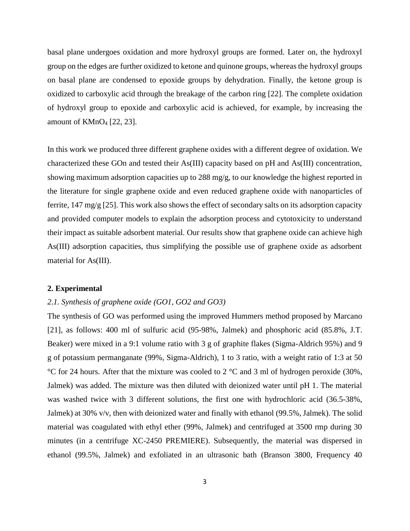basal plane undergoes oxidation and more hydroxyl groups are formed. Later on, the hydroxyl group on the edges are further oxidized to ketone and quinone groups, whereas the hydroxyl groups on basal plane are condensed to epoxide groups by dehydration. Finally, the ketone group is oxidized to carboxylic acid through the breakage of the carbon ring [22]. The complete oxidation of hydroxyl group to epoxide and carboxylic acid is achieved, for example, by increasing the amount of KMnO<sup>4</sup> [22, 23].

In this work we produced three different graphene oxides with a different degree of oxidation. We characterized these GOn and tested their As(III) capacity based on pH and As(III) concentration, showing maximum adsorption capacities up to 288 mg/g, to our knowledge the highest reported in the literature for single graphene oxide and even reduced graphene oxide with nanoparticles of ferrite,  $147 \text{ mg/g}$  [25]. This work also shows the effect of secondary salts on its adsorption capacity and provided computer models to explain the adsorption process and cytotoxicity to understand their impact as suitable adsorbent material. Our results show that graphene oxide can achieve high As(III) adsorption capacities, thus simplifying the possible use of graphene oxide as adsorbent material for As(III).

## **2. Experimental**

# *2.1. Synthesis of graphene oxide (GO1, GO2 and GO3)*

The synthesis of GO was performed using the improved Hummers method proposed by Marcano [21], as follows: 400 ml of sulfuric acid (95-98%, Jalmek) and phosphoric acid (85.8%, J.T. Beaker) were mixed in a 9:1 volume ratio with 3 g of graphite flakes (Sigma-Aldrich 95%) and 9 g of potassium permanganate (99%, Sigma-Aldrich), 1 to 3 ratio, with a weight ratio of 1:3 at 50 °C for 24 hours. After that the mixture was cooled to 2 °C and 3 ml of hydrogen peroxide (30%, Jalmek) was added. The mixture was then diluted with deionized water until pH 1. The material was washed twice with 3 different solutions, the first one with hydrochloric acid (36.5-38%, Jalmek) at 30% v/v, then with deionized water and finally with ethanol (99.5%, Jalmek). The solid material was coagulated with ethyl ether (99%, Jalmek) and centrifuged at 3500 rmp during 30 minutes (in a centrifuge XC-2450 PREMIERE). Subsequently, the material was dispersed in ethanol (99.5%, Jalmek) and exfoliated in an ultrasonic bath (Branson 3800, Frequency 40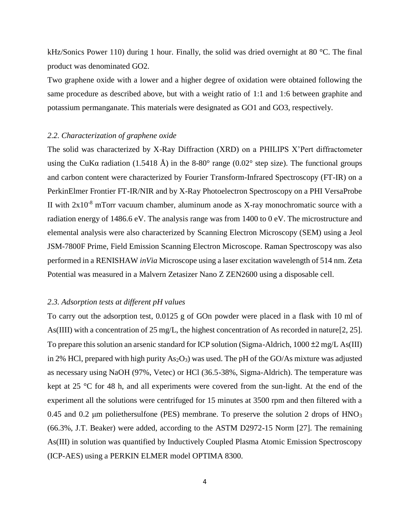kHz/Sonics Power 110) during 1 hour. Finally, the solid was dried overnight at 80 °C. The final product was denominated GO2.

Two graphene oxide with a lower and a higher degree of oxidation were obtained following the same procedure as described above, but with a weight ratio of 1:1 and 1:6 between graphite and potassium permanganate. This materials were designated as GO1 and GO3, respectively.

## *2.2. Characterization of graphene oxide*

The solid was characterized by X-Ray Diffraction (XRD) on a PHILIPS X'Pert diffractometer using the CuKa radiation (1.5418 Å) in the 8-80 $^{\circ}$  range (0.02 $^{\circ}$  step size). The functional groups and carbon content were characterized by Fourier Transform-Infrared Spectroscopy (FT-IR) on a PerkinElmer Frontier FT-IR/NIR and by X-Ray Photoelectron Spectroscopy on a PHI VersaProbe II with  $2x10^{-8}$  mTorr vacuum chamber, aluminum anode as X-ray monochromatic source with a radiation energy of 1486.6 eV. The analysis range was from 1400 to 0 eV. The microstructure and elemental analysis were also characterized by Scanning Electron Microscopy (SEM) using a Jeol JSM-7800F Prime, Field Emission Scanning Electron Microscope. Raman Spectroscopy was also performed in a RENISHAW *inVia* Microscope using a laser excitation wavelength of 514 nm. Zeta Potential was measured in a Malvern Zetasizer Nano Z ZEN2600 using a disposable cell.

# *2.3. Adsorption tests at different pH values*

To carry out the adsorption test, 0.0125 g of GOn powder were placed in a flask with 10 ml of As(IIII) with a concentration of 25 mg/L, the highest concentration of As recorded in nature[2, 25]. To prepare this solution an arsenic standard for ICP solution (Sigma-Aldrich, 1000  $\pm 2$  mg/L As(III) in 2% HCl, prepared with high purity  $As<sub>2</sub>O<sub>3</sub>$ ) was used. The pH of the GO/As mixture was adjusted as necessary using NaOH (97%, Vetec) or HCl (36.5-38%, Sigma-Aldrich). The temperature was kept at 25 °C for 48 h, and all experiments were covered from the sun-light. At the end of the experiment all the solutions were centrifuged for 15 minutes at 3500 rpm and then filtered with a 0.45 and 0.2  $\mu$ m poliethersulfone (PES) membrane. To preserve the solution 2 drops of HNO<sub>3</sub> (66.3%, J.T. Beaker) were added, according to the ASTM D2972-15 Norm [27]. The remaining As(III) in solution was quantified by Inductively Coupled Plasma Atomic Emission Spectroscopy (ICP-AES) using a PERKIN ELMER model OPTIMA 8300.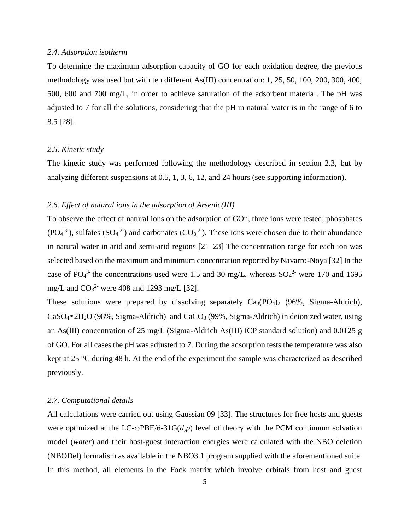## *2.4. Adsorption isotherm*

To determine the maximum adsorption capacity of GO for each oxidation degree, the previous methodology was used but with ten different As(III) concentration: 1, 25, 50, 100, 200, 300, 400, 500, 600 and 700 mg/L, in order to achieve saturation of the adsorbent material. The pH was adjusted to 7 for all the solutions, considering that the pH in natural water is in the range of 6 to 8.5 [28].

## *2.5. Kinetic study*

The kinetic study was performed following the methodology described in section 2.3, but by analyzing different suspensions at 0.5, 1, 3, 6, 12, and 24 hours (see supporting information).

## *2.6. Effect of natural ions in the adsorption of Arsenic(III)*

To observe the effect of natural ions on the adsorption of GOn, three ions were tested; phosphates  $(PO<sub>4</sub><sup>3</sup>$ ), sulfates  $(SO<sub>4</sub><sup>2</sup>)$  and carbonates  $(CO<sub>3</sub><sup>2</sup>)$ . These ions were chosen due to their abundance in natural water in arid and semi-arid regions [21–23] The concentration range for each ion was selected based on the maximum and minimum concentration reported by Navarro-Noya [32] In the case of PO<sub>4</sub><sup>3</sup> the concentrations used were 1.5 and 30 mg/L, whereas  $SO_4^2$  were 170 and 1695 mg/L and  $CO<sub>3</sub><sup>2</sup>$  were 408 and 1293 mg/L [32].

These solutions were prepared by dissolving separately  $Ca_3(PO_4)_2$  (96%, Sigma-Aldrich),  $CaSO_4\bullet 2H_2O$  (98%, Sigma-Aldrich) and  $CaCO_3$  (99%, Sigma-Aldrich) in deionized water, using an As(III) concentration of 25 mg/L (Sigma-Aldrich As(III) ICP standard solution) and 0.0125 g of GO. For all cases the pH was adjusted to 7. During the adsorption tests the temperature was also kept at 25 °C during 48 h. At the end of the experiment the sample was characterized as described previously.

## *2.7. Computational details*

All calculations were carried out using Gaussian 09 [33]. The structures for free hosts and guests were optimized at the LC-ωPBE/6-31G(*d,p*) level of theory with the PCM continuum solvation model (*water*) and their host-guest interaction energies were calculated with the NBO deletion (NBODel) formalism as available in the NBO3.1 program supplied with the aforementioned suite. In this method, all elements in the Fock matrix which involve orbitals from host and guest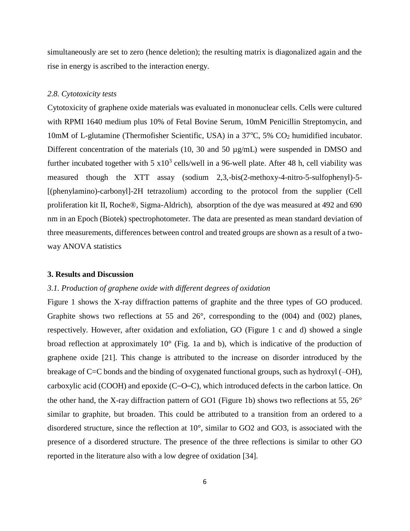simultaneously are set to zero (hence deletion); the resulting matrix is diagonalized again and the rise in energy is ascribed to the interaction energy.

#### *2.8. Cytotoxicity tests*

Cytotoxicity of graphene oxide materials was evaluated in mononuclear cells. Cells were cultured with RPMI 1640 medium plus 10% of Fetal Bovine Serum, 10mM Penicillin Streptomycin, and 10mM of L-glutamine (Thermofisher Scientific, USA) in a  $37^{\circ}$ C, 5% CO<sub>2</sub> humidified incubator. Different concentration of the materials (10, 30 and 50  $\mu$ g/mL) were suspended in DMSO and further incubated together with  $5 \times 10^3$  cells/well in a 96-well plate. After 48 h, cell viability was measured though the XTT assay (sodium 2,3,-bis(2-methoxy-4-nitro-5-sulfophenyl)-5- [(phenylamino)-carbonyl]-2H tetrazolium) according to the protocol from the supplier (Cell proliferation kit II, Roche®, Sigma-Aldrich), absorption of the dye was measured at 492 and 690 nm in an Epoch (Biotek) spectrophotometer. The data are presented as mean standard deviation of three measurements, differences between control and treated groups are shown as a result of a twoway ANOVA statistics

### **3. Results and Discussion**

# *3.1. Production of graphene oxide with different degrees of oxidation*

Figure 1 shows the X-ray diffraction patterns of graphite and the three types of GO produced. Graphite shows two reflections at 55 and 26°, corresponding to the (004) and (002) planes, respectively. However, after oxidation and exfoliation, GO (Figure 1 c and d) showed a single broad reflection at approximately 10° (Fig. 1a and b), which is indicative of the production of graphene oxide [21]. This change is attributed to the increase on disorder introduced by the breakage of C=C bonds and the binding of oxygenated functional groups, such as hydroxyl (–OH), carboxylic acid (COOH) and epoxide (C–O–C), which introduced defects in the carbon lattice. On the other hand, the X-ray diffraction pattern of GO1 (Figure 1b) shows two reflections at 55, 26° similar to graphite, but broaden. This could be attributed to a transition from an ordered to a disordered structure, since the reflection at 10°, similar to GO2 and GO3, is associated with the presence of a disordered structure. The presence of the three reflections is similar to other GO reported in the literature also with a low degree of oxidation [34].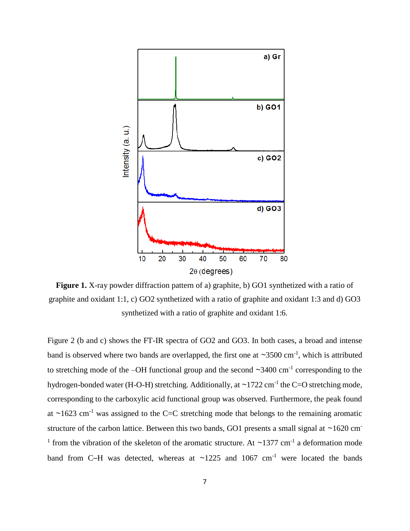

**Figure 1.** X-ray powder diffraction pattern of a) graphite, b) GO1 synthetized with a ratio of graphite and oxidant 1:1, c) GO2 synthetized with a ratio of graphite and oxidant 1:3 and d) GO3 synthetized with a ratio of graphite and oxidant 1:6.

Figure 2 (b and c) shows the FT-IR spectra of GO2 and GO3. In both cases, a broad and intense band is observed where two bands are overlapped, the first one at  $\sim$ 3500 cm<sup>-1</sup>, which is attributed to stretching mode of the  $-OH$  functional group and the second  $\sim$ 3400 cm<sup>-1</sup> corresponding to the hydrogen-bonded water (H-O-H) stretching. Additionally, at  $\sim$ 1722 cm<sup>-1</sup> the C=O stretching mode, corresponding to the carboxylic acid functional group was observed. Furthermore, the peak found at  $\sim$ 1623 cm<sup>-1</sup> was assigned to the C=C stretching mode that belongs to the remaining aromatic structure of the carbon lattice. Between this two bands, GO1 presents a small signal at  $\sim$ 1620 cm<sup>-</sup> <sup>1</sup> from the vibration of the skeleton of the aromatic structure. At  $\sim$ 1377 cm<sup>-1</sup> a deformation mode band from C–H was detected, whereas at  $\sim$ 1225 and 1067 cm<sup>-1</sup> were located the bands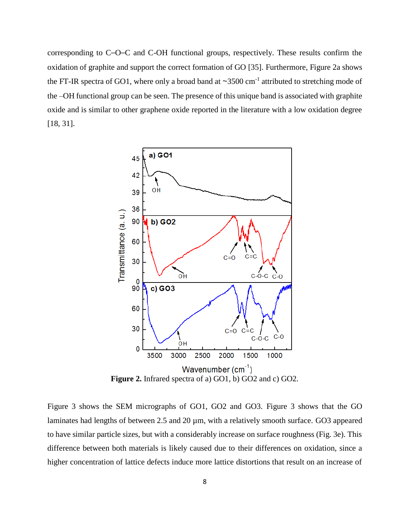corresponding to C–O–C and C-OH functional groups, respectively. These results confirm the oxidation of graphite and support the correct formation of GO [35]. Furthermore, Figure 2a shows the FT-IR spectra of GO1, where only a broad band at  $\sim$ 3500 cm<sup>-1</sup> attributed to stretching mode of the –OH functional group can be seen. The presence of this unique band is associated with graphite oxide and is similar to other graphene oxide reported in the literature with a low oxidation degree [18, 31].



Figure 3 shows the SEM micrographs of GO1, GO2 and GO3. Figure 3 shows that the GO laminates had lengths of between 2.5 and 20  $\mu$ m, with a relatively smooth surface. GO3 appeared to have similar particle sizes, but with a considerably increase on surface roughness (Fig. 3e). This difference between both materials is likely caused due to their differences on oxidation, since a higher concentration of lattice defects induce more lattice distortions that result on an increase of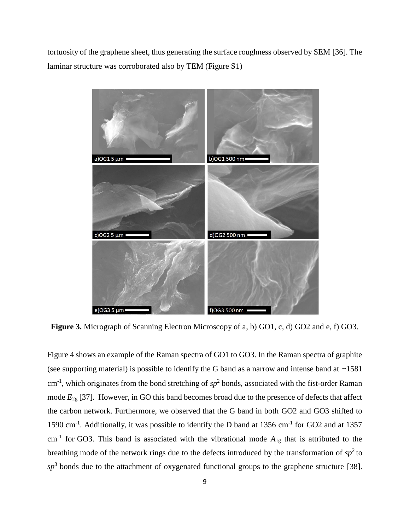tortuosity of the graphene sheet, thus generating the surface roughness observed by SEM [36]. The laminar structure was corroborated also by TEM (Figure S1)



**Figure 3.** Micrograph of Scanning Electron Microscopy of a, b) GO1, c, d) GO2 and e, f) GO3.

Figure 4 shows an example of the Raman spectra of GO1 to GO3. In the Raman spectra of graphite (see supporting material) is possible to identify the G band as a narrow and intense band at  $\sim$ 1581  $cm<sup>-1</sup>$ , which originates from the bond stretching of  $sp<sup>2</sup>$  bonds, associated with the fist-order Raman mode  $E_{2g}$  [37]. However, in GO this band becomes broad due to the presence of defects that affect the carbon network. Furthermore, we observed that the G band in both GO2 and GO3 shifted to 1590 cm<sup>-1</sup>. Additionally, it was possible to identify the D band at 1356 cm<sup>-1</sup> for GO2 and at 1357  $cm<sup>-1</sup>$  for GO3. This band is associated with the vibrational mode  $A_{1g}$  that is attributed to the breathing mode of the network rings due to the defects introduced by the transformation of  $sp^2$  to  $sp<sup>3</sup>$  bonds due to the attachment of oxygenated functional groups to the graphene structure [38].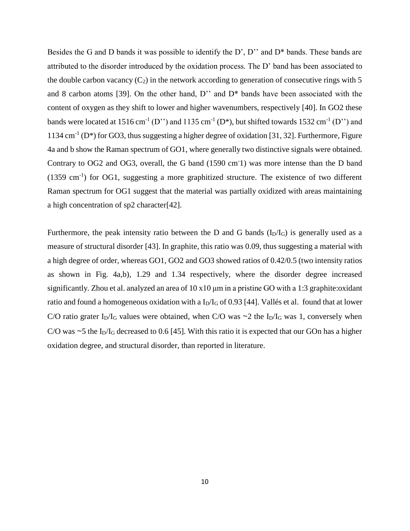Besides the G and D bands it was possible to identify the D', D'' and D<sup>\*</sup> bands. These bands are attributed to the disorder introduced by the oxidation process. The D' band has been associated to the double carbon vacancy  $(C_2)$  in the network according to generation of consecutive rings with 5 and 8 carbon atoms [39]. On the other hand, D'' and D\* bands have been associated with the content of oxygen as they shift to lower and higher wavenumbers, respectively [40]. In GO2 these bands were located at 1516 cm<sup>-1</sup> (D'') and 1135 cm<sup>-1</sup> (D<sup>\*</sup>), but shifted towards 1532 cm<sup>-1</sup> (D'') and 1134 cm<sup>-1</sup> (D<sup>\*</sup>) for GO3, thus suggesting a higher degree of oxidation [31, 32]. Furthermore, Figure 4a and b show the Raman spectrum of GO1, where generally two distinctive signals were obtained. Contrary to OG2 and OG3, overall, the G band (1590 cm<sup>-1</sup>) was more intense than the D band  $(1359 \text{ cm}^{-1})$  for OG1, suggesting a more graphitized structure. The existence of two different Raman spectrum for OG1 suggest that the material was partially oxidized with areas maintaining a high concentration of sp2 character[42].

Furthermore, the peak intensity ratio between the D and G bands ( $I<sub>D</sub>/I<sub>G</sub>$ ) is generally used as a measure of structural disorder [43]. In graphite, this ratio was 0.09, thus suggesting a material with a high degree of order, whereas GO1, GO2 and GO3 showed ratios of 0.42/0.5 (two intensity ratios as shown in Fig. 4a,b), 1.29 and 1.34 respectively, where the disorder degree increased significantly. Zhou et al. analyzed an area of 10 x10 μm in a pristine GO with a 1:3 graphite:oxidant ratio and found a homogeneous oxidation with a  $I_D/I_G$  of 0.93 [44]. Vallés et al. found that at lower C/O ratio grater I<sub>D</sub>/I<sub>G</sub> values were obtained, when C/O was  $\sim$ 2 the I<sub>D</sub>/I<sub>G</sub> was 1, conversely when C/O was  $\sim$  5 the I<sub>D</sub>/I<sub>G</sub> decreased to 0.6 [45]. With this ratio it is expected that our GOn has a higher oxidation degree, and structural disorder, than reported in literature.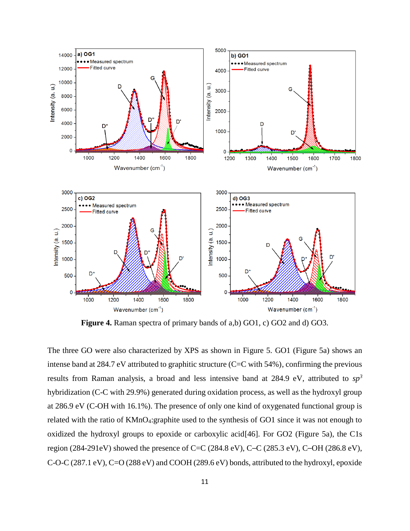

**Figure 4.** Raman spectra of primary bands of a,b) GO1, c) GO2 and d) GO3.

The three GO were also characterized by XPS as shown in Figure 5. GO1 (Figure 5a) shows an intense band at 284.7 eV attributed to graphitic structure (C=C with 54%), confirming the previous results from Raman analysis, a broad and less intensive band at 284.9 eV, attributed to *sp<sup>3</sup>* hybridization (C-C with 29.9%) generated during oxidation process, as well as the hydroxyl group at 286.9 eV (C-OH with 16.1%). The presence of only one kind of oxygenated functional group is related with the ratio of KMnO4:graphite used to the synthesis of GO1 since it was not enough to oxidized the hydroxyl groups to epoxide or carboxylic acid[46]. For GO2 (Figure 5a), the C1s region (284-291eV) showed the presence of C=C (284.8 eV), C–C (285.3 eV), C–OH (286.8 eV), C-O-C (287.1 eV), C=O (288 eV) and COOH (289.6 eV) bonds, attributed to the hydroxyl, epoxide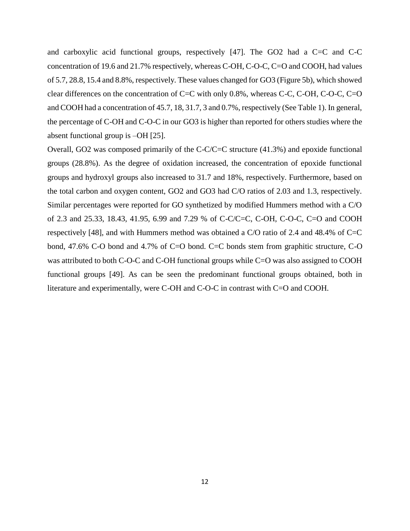and carboxylic acid functional groups, respectively  $[47]$ . The GO2 had a C=C and C-C concentration of 19.6 and 21.7% respectively, whereas C-OH, C-O-C, C=O and COOH, had values of 5.7, 28.8, 15.4 and 8.8%, respectively. These values changed for GO3 (Figure 5b), which showed clear differences on the concentration of C=C with only 0.8%, whereas C-C, C-OH, C-O-C, C=O and COOH had a concentration of 45.7, 18, 31.7, 3 and 0.7%, respectively (See Table 1). In general, the percentage of C-OH and C-O-C in our GO3 is higher than reported for others studies where the absent functional group is –OH [25].

Overall, GO2 was composed primarily of the C-C/C=C structure (41.3%) and epoxide functional groups (28.8%). As the degree of oxidation increased, the concentration of epoxide functional groups and hydroxyl groups also increased to 31.7 and 18%, respectively. Furthermore, based on the total carbon and oxygen content, GO2 and GO3 had C/O ratios of 2.03 and 1.3, respectively. Similar percentages were reported for GO synthetized by modified Hummers method with a C/O of 2.3 and 25.33, 18.43, 41.95, 6.99 and 7.29 % of C-C/C=C, C-OH, C-O-C, C=O and COOH respectively [48], and with Hummers method was obtained a C/O ratio of 2.4 and 48.4% of C=C bond, 47.6% C-O bond and 4.7% of C=O bond. C=C bonds stem from graphitic structure, C-O was attributed to both C-O-C and C-OH functional groups while C=O was also assigned to COOH functional groups [49]. As can be seen the predominant functional groups obtained, both in literature and experimentally, were C-OH and C-O-C in contrast with C=O and COOH.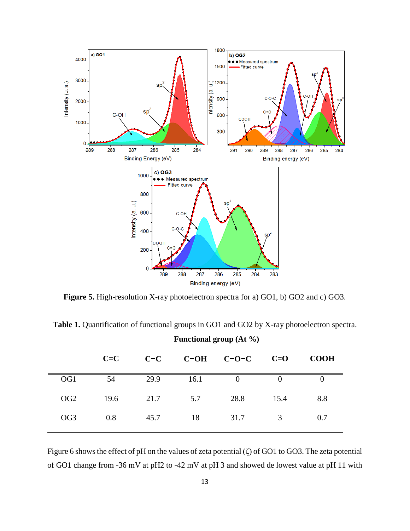

**Figure 5.** High-resolution X-ray photoelectron spectra for a) GO1, b) GO2 and c) GO3.

|                 | <b>Functional group (At %)</b> |       |        |          |       |             |  |
|-----------------|--------------------------------|-------|--------|----------|-------|-------------|--|
|                 | $C = C$                        | $C-C$ | $C-OH$ | $C-O-C$  | $C=O$ | <b>COOH</b> |  |
| OG <sub>1</sub> | 54                             | 29.9  | 16.1   | $\Omega$ | 0     | $\theta$    |  |
| OG <sub>2</sub> | 19.6                           | 21.7  | 5.7    | 28.8     | 15.4  | 8.8         |  |
| OG <sub>3</sub> | 0.8                            | 45.7  | 18     | 31.7     | 3     | 0.7         |  |

**Table 1.** Quantification of functional groups in GO1 and GO2 by X-ray photoelectron spectra.

Figure 6 shows the effect of pH on the values of zeta potential (ζ) of GO1 to GO3. The zeta potential of GO1 change from -36 mV at pH2 to -42 mV at pH 3 and showed de lowest value at pH 11 with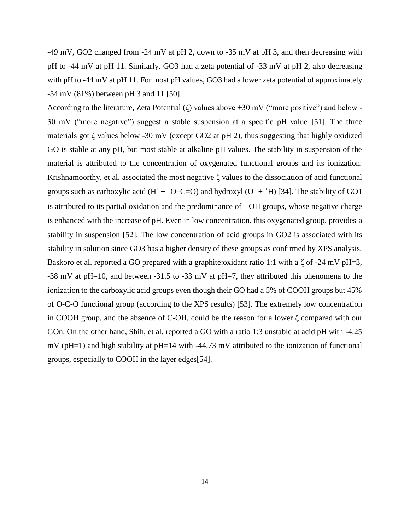-49 mV, GO2 changed from -24 mV at pH 2, down to -35 mV at pH 3, and then decreasing with pH to -44 mV at pH 11. Similarly, GO3 had a zeta potential of -33 mV at pH 2, also decreasing with pH to -44 mV at pH 11. For most pH values, GO3 had a lower zeta potential of approximately -54 mV (81%) between pH 3 and 11 [50].

According to the literature, Zeta Potential  $(\zeta)$  values above +30 mV ("more positive") and below -30 mV ("more negative") suggest a stable suspension at a specific pH value [51]. The three materials got  $\zeta$  values below -30 mV (except GO2 at pH 2), thus suggesting that highly oxidized GO is stable at any pH, but most stable at alkaline pH values. The stability in suspension of the material is attributed to the concentration of oxygenated functional groups and its ionization. Krishnamoorthy, et al. associated the most negative  $\zeta$  values to the dissociation of acid functional groups such as carboxylic acid (H<sup>+</sup> + <sup>-</sup>O–C=O) and hydroxyl (O<sup>–</sup> + <sup>+</sup>H) [34]. The stability of GO1 is attributed to its partial oxidation and the predominance of −OH groups, whose negative charge is enhanced with the increase of pH. Even in low concentration, this oxygenated group, provides a stability in suspension [52]. The low concentration of acid groups in GO2 is associated with its stability in solution since GO3 has a higher density of these groups as confirmed by XPS analysis. Baskoro et al. reported a GO prepared with a graphite:oxidant ratio 1:1 with a  $\zeta$  of -24 mV pH=3, -38 mV at pH=10, and between -31.5 to -33 mV at pH=7, they attributed this phenomena to the ionization to the carboxylic acid groups even though their GO had a 5% of COOH groups but 45% of O-C-O functional group (according to the XPS results) [53]. The extremely low concentration in COOH group, and the absence of C-OH, could be the reason for a lower ζ compared with our GOn. On the other hand, Shih, et al. reported a GO with a ratio 1:3 unstable at acid pH with -4.25 mV (pH=1) and high stability at pH=14 with -44.73 mV attributed to the ionization of functional groups, especially to COOH in the layer edges[54].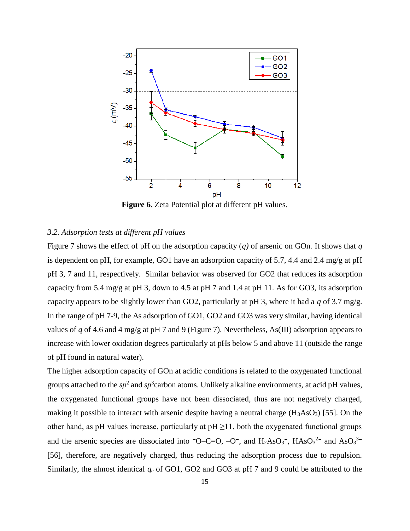

**Figure 6.** Zeta Potential plot at different pH values.

# *3.2. Adsorption tests at different pH values*

Figure 7 shows the effect of pH on the adsorption capacity (*q)* of arsenic on GOn*.* It shows that *q* is dependent on pH, for example, GO1 have an adsorption capacity of 5.7, 4.4 and 2.4 mg/g at pH pH 3, 7 and 11, respectively. Similar behavior was observed for GO2 that reduces its adsorption capacity from 5.4 mg/g at pH 3, down to 4.5 at pH 7 and 1.4 at pH 11. As for GO3, its adsorption capacity appears to be slightly lower than GO2, particularly at pH 3, where it had a *q* of 3.7 mg/g. In the range of pH 7-9, the As adsorption of GO1, GO2 and GO3 was very similar, having identical values of *q* of 4.6 and 4 mg/g at pH 7 and 9 (Figure 7). Nevertheless, As(III) adsorption appears to increase with lower oxidation degrees particularly at pHs below 5 and above 11 (outside the range of pH found in natural water).

The higher adsorption capacity of GOn at acidic conditions is related to the oxygenated functional groups attached to the  $sp^2$  and  $sp^3$ carbon atoms. Unlikely alkaline environments, at acid pH values, the oxygenated functional groups have not been dissociated, thus are not negatively charged, making it possible to interact with arsenic despite having a neutral charge  $(H_3AsO_3)$  [55]. On the other hand, as pH values increase, particularly at  $pH \ge 11$ , both the oxygenated functional groups and the arsenic species are dissociated into  $\neg$ O–C=O,  $\neg$ O–, and H<sub>2</sub>AsO<sub>3</sub><sup>-</sup>, HAsO<sub>3</sub><sup>2–</sup> and AsO<sub>3</sub><sup>3–</sup> [56], therefore, are negatively charged, thus reducing the adsorption process due to repulsion. Similarly, the almost identical  $q_e$  of GO1, GO2 and GO3 at pH 7 and 9 could be attributed to the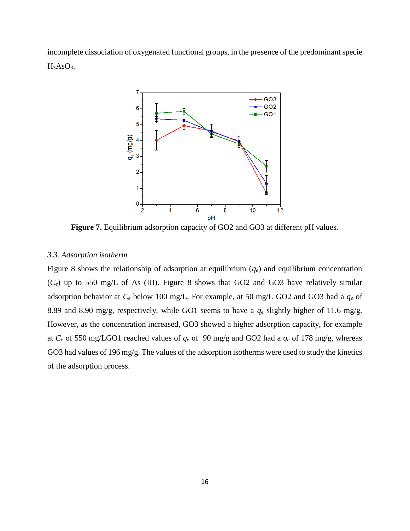incomplete dissociation of oxygenated functional groups, in the presence of the predominant specie H3AsO3.



**Figure 7.** Equilibrium adsorption capacity of GO2 and GO3 at different pH values.

## *3.3. Adsorption isotherm*

Figure 8 shows the relationship of adsorption at equilibrium  $(q_e)$  and equilibrium concentration  $(C_e)$  up to 550 mg/L of As (III). Figure 8 shows that GO2 and GO3 have relatively similar adsorption behavior at *C<sup>e</sup>* below 100 mg/L. For example, at 50 mg/L GO2 and GO3 had a *q<sup>e</sup>* of 8.89 and 8.90 mg/g, respectively, while GO1 seems to have a *q<sup>e</sup>* slightly higher of 11.6 mg/g. However, as the concentration increased, GO3 showed a higher adsorption capacity, for example at  $C_e$  of 550 mg/LGO1 reached values of  $q_e$  of 90 mg/g and GO2 had a  $q_e$  of 178 mg/g, whereas GO3 had values of 196 mg/g. The values of the adsorption isotherms were used to study the kinetics of the adsorption process.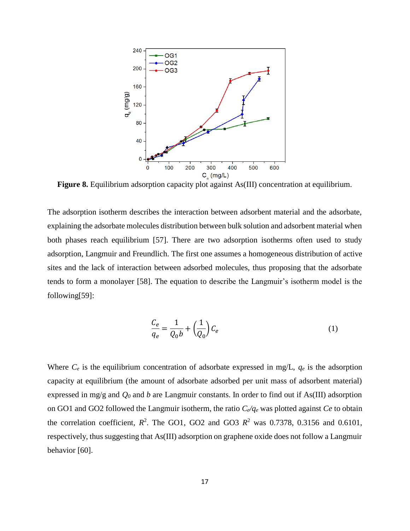

**Figure 8.** Equilibrium adsorption capacity plot against As(III) concentration at equilibrium.

The adsorption isotherm describes the interaction between adsorbent material and the adsorbate, explaining the adsorbate molecules distribution between bulk solution and adsorbent material when both phases reach equilibrium [57]. There are two adsorption isotherms often used to study adsorption, Langmuir and Freundlich. The first one assumes a homogeneous distribution of active sites and the lack of interaction between adsorbed molecules, thus proposing that the adsorbate tends to form a monolayer [58]. The equation to describe the Langmuir's isotherm model is the following[59]:

$$
\frac{C_e}{q_e} = \frac{1}{Q_0 b} + \left(\frac{1}{Q_0}\right) C_e \tag{1}
$$

Where  $C_e$  is the equilibrium concentration of adsorbate expressed in mg/L,  $q_e$  is the adsorption capacity at equilibrium (the amount of adsorbate adsorbed per unit mass of adsorbent material) expressed in mg/g and *Q<sup>0</sup>* and *b* are Langmuir constants. In order to find out if As(III) adsorption on GO1 and GO2 followed the Langmuir isotherm, the ratio *Ce/q<sup>e</sup>* was plotted against *Ce* to obtain the correlation coefficient,  $R^2$ . The GO1, GO2 and GO3  $R^2$  was 0.7378, 0.3156 and 0.6101, respectively, thus suggesting that As(III) adsorption on graphene oxide does not follow a Langmuir behavior [60].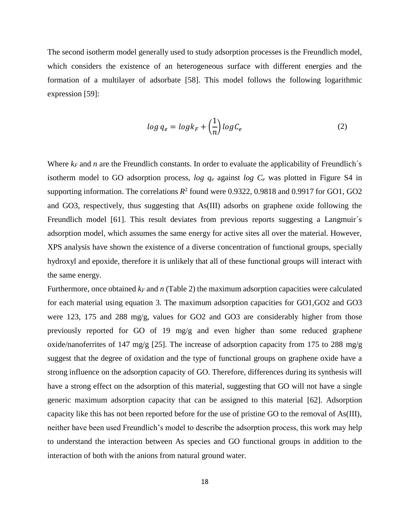The second isotherm model generally used to study adsorption processes is the Freundlich model, which considers the existence of an heterogeneous surface with different energies and the formation of a multilayer of adsorbate [58]. This model follows the following logarithmic expression [59]:

$$
\log q_e = \log k_F + \left(\frac{1}{n}\right) \log C_e \tag{2}
$$

Where  $k_F$  and *n* are the Freundlich constants. In order to evaluate the applicability of Freundlich's isotherm model to GO adsorption process, *log q<sup>e</sup>* against *log C<sup>e</sup>* was plotted in Figure S4 in supporting information. The correlations  $R^2$  found were 0.9322, 0.9818 and 0.9917 for GO1, GO2 and GO3, respectively, thus suggesting that As(III) adsorbs on graphene oxide following the Freundlich model [61]. This result deviates from previous reports suggesting a Langmuir's adsorption model, which assumes the same energy for active sites all over the material. However, XPS analysis have shown the existence of a diverse concentration of functional groups, specially hydroxyl and epoxide, therefore it is unlikely that all of these functional groups will interact with the same energy.

Furthermore, once obtained *k<sup>F</sup>* and *n* (Table 2) the maximum adsorption capacities were calculated for each material using equation 3. The maximum adsorption capacities for GO1,GO2 and GO3 were 123, 175 and 288 mg/g, values for GO2 and GO3 are considerably higher from those previously reported for GO of 19 mg/g and even higher than some reduced graphene oxide/nanoferrites of 147 mg/g [25]. The increase of adsorption capacity from 175 to 288 mg/g suggest that the degree of oxidation and the type of functional groups on graphene oxide have a strong influence on the adsorption capacity of GO. Therefore, differences during its synthesis will have a strong effect on the adsorption of this material, suggesting that GO will not have a single generic maximum adsorption capacity that can be assigned to this material [62]. Adsorption capacity like this has not been reported before for the use of pristine GO to the removal of As(III), neither have been used Freundlich's model to describe the adsorption process, this work may help to understand the interaction between As species and GO functional groups in addition to the interaction of both with the anions from natural ground water.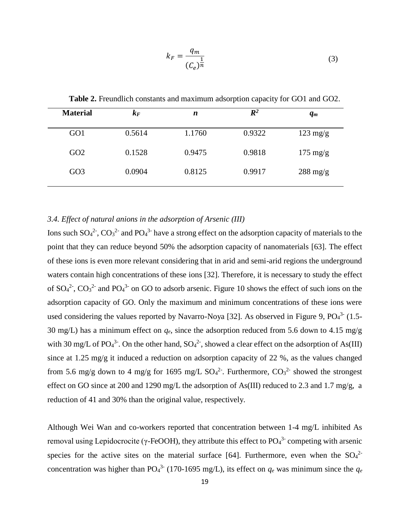$$
k_F = \frac{q_m}{(C_e)^{\frac{1}{n}}} \tag{3}
$$

| <b>Material</b> | $k_{F}$ | n      | $I\!\!R^2$ | $q_m$              |
|-----------------|---------|--------|------------|--------------------|
| GO <sub>1</sub> | 0.5614  | 1.1760 | 0.9322     | $123 \text{ mg/g}$ |
| GO <sub>2</sub> | 0.1528  | 0.9475 | 0.9818     | $175 \text{ mg/g}$ |
| GO <sub>3</sub> | 0.0904  | 0.8125 | 0.9917     | $288 \text{ mg/g}$ |

**Table 2.** Freundlich constants and maximum adsorption capacity for GO1 and GO2.

# *3.4. Effect of natural anions in the adsorption of Arsenic (III)*

Ions such  $SO_4^2$ <sup>-</sup>,  $CO_3^2$  and  $PO_4^3$  have a strong effect on the adsorption capacity of materials to the point that they can reduce beyond 50% the adsorption capacity of nanomaterials [63]. The effect of these ions is even more relevant considering that in arid and semi-arid regions the underground waters contain high concentrations of these ions [32]. Therefore, it is necessary to study the effect of  $SO_4^2$ ,  $CO_3^2$  and  $PO_4^3$  on GO to adsorb arsenic. Figure 10 shows the effect of such ions on the adsorption capacity of GO. Only the maximum and minimum concentrations of these ions were used considering the values reported by Navarro-Noya [32]. As observed in Figure 9,  $PO<sub>4</sub><sup>3</sup>$  (1.5-30 mg/L) has a minimum effect on *qe*, since the adsorption reduced from 5.6 down to 4.15 mg/g with 30 mg/L of PO<sub>4</sub><sup>3</sup>. On the other hand,  $SO_4^2$ , showed a clear effect on the adsorption of As(III) since at 1.25 mg/g it induced a reduction on adsorption capacity of 22 %, as the values changed from 5.6 mg/g down to 4 mg/g for 1695 mg/L  $SO_4^2$ . Furthermore,  $CO_3^2$  showed the strongest effect on GO since at 200 and 1290 mg/L the adsorption of As(III) reduced to 2.3 and 1.7 mg/g, a reduction of 41 and 30% than the original value, respectively.

Although Wei Wan and co-workers reported that concentration between 1-4 mg/L inhibited As removal using Lepidocrocite ( $γ$ -FeOOH), they attribute this effect to  $PO<sub>4</sub><sup>3</sup>$  competing with arsenic species for the active sites on the material surface [64]. Furthermore, even when the  $SO<sub>4</sub><sup>2</sup>$ concentration was higher than PO<sub>4</sub><sup>3</sup> (170-1695 mg/L), its effect on  $q_e$  was minimum since the  $q_e$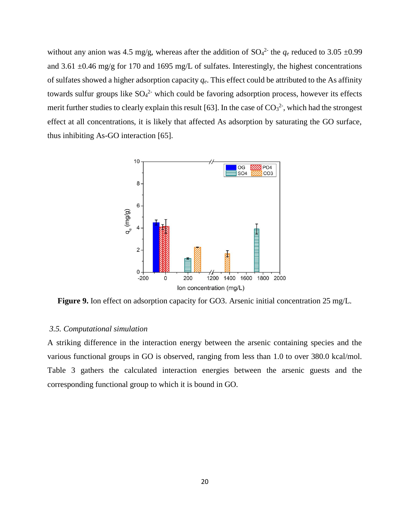without any anion was 4.5 mg/g, whereas after the addition of  $SO_4^2$  the  $q_e$  reduced to 3.05  $\pm 0.99$ and 3.61  $\pm$ 0.46 mg/g for 170 and 1695 mg/L of sulfates. Interestingly, the highest concentrations of sulfates showed a higher adsorption capacity *qe*. This effect could be attributed to the As affinity towards sulfur groups like  $SO_4^2$  which could be favoring adsorption process, however its effects merit further studies to clearly explain this result [63]. In the case of  $CO<sub>3</sub><sup>2</sup>$ , which had the strongest effect at all concentrations, it is likely that affected As adsorption by saturating the GO surface, thus inhibiting As-GO interaction [65].



**Figure 9.** Ion effect on adsorption capacity for GO3. Arsenic initial concentration 25 mg/L.

#### *3.5. Computational simulation*

A striking difference in the interaction energy between the arsenic containing species and the various functional groups in GO is observed, ranging from less than 1.0 to over 380.0 kcal/mol. Table 3 gathers the calculated interaction energies between the arsenic guests and the corresponding functional group to which it is bound in GO.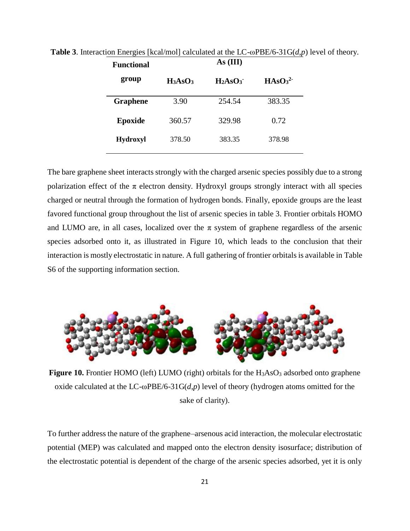| <b>Functional</b> | As (III)   |                                 |                                |  |  |
|-------------------|------------|---------------------------------|--------------------------------|--|--|
| group             | $H_3AsO_3$ | H <sub>2</sub> ASO <sub>3</sub> | HASO <sub>3</sub> <sup>2</sup> |  |  |
| <b>Graphene</b>   | 3.90       | 254.54                          | 383.35                         |  |  |
| Epoxide           | 360.57     | 329.98                          | 0.72                           |  |  |
| <b>Hydroxyl</b>   | 378.50     | 383.35                          | 378.98                         |  |  |

**Table 3**. Interaction Energies [kcal/mol] calculated at the LC-ωPBE/6-31G(*d*,*p*) level of theory.

The bare graphene sheet interacts strongly with the charged arsenic species possibly due to a strong polarization effect of the  $\pi$  electron density. Hydroxyl groups strongly interact with all species charged or neutral through the formation of hydrogen bonds. Finally, epoxide groups are the least favored functional group throughout the list of arsenic species in table 3. Frontier orbitals HOMO and LUMO are, in all cases, localized over the  $\pi$  system of graphene regardless of the arsenic species adsorbed onto it, as illustrated in Figure 10, which leads to the conclusion that their interaction is mostly electrostatic in nature. A full gathering of frontier orbitals is available in Table S6 of the supporting information section.



**Figure 10.** Frontier HOMO (left) LUMO (right) orbitals for the  $H_3AsO_3$  adsorbed onto graphene oxide calculated at the LC-ωPBE/6-31G(*d*,*p*) level of theory (hydrogen atoms omitted for the sake of clarity).

To further address the nature of the graphene–arsenous acid interaction, the molecular electrostatic potential (MEP) was calculated and mapped onto the electron density isosurface; distribution of the electrostatic potential is dependent of the charge of the arsenic species adsorbed, yet it is only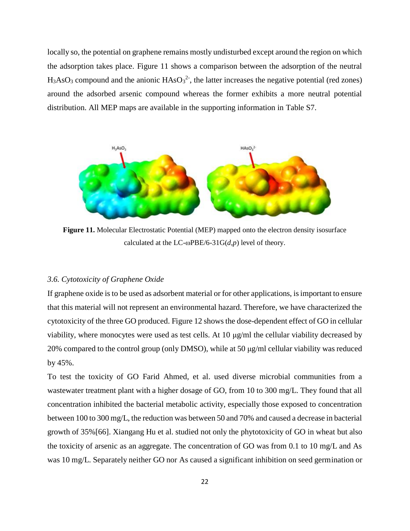locally so, the potential on graphene remains mostly undisturbed except around the region on which the adsorption takes place. Figure 11 shows a comparison between the adsorption of the neutral  $H_3AsO_3$  compound and the anionic  $HAsO_3^2$ , the latter increases the negative potential (red zones) around the adsorbed arsenic compound whereas the former exhibits a more neutral potential distribution. All MEP maps are available in the supporting information in Table S7.



**Figure 11.** Molecular Electrostatic Potential (MEP) mapped onto the electron density isosurface calculated at the LC- $\omega$ PBE/6-31G( $d$ , $p$ ) level of theory.

## *3.6. Cytotoxicity of Graphene Oxide*

If graphene oxide is to be used as adsorbent material or for other applications, is important to ensure that this material will not represent an environmental hazard. Therefore, we have characterized the cytotoxicity of the three GO produced. Figure 12 shows the dose-dependent effect of GO in cellular viability, where monocytes were used as test cells. At 10 μg/ml the cellular viability decreased by 20% compared to the control group (only DMSO), while at 50 μg/ml cellular viability was reduced by 45%.

To test the toxicity of GO Farid Ahmed, et al. used diverse microbial communities from a wastewater treatment plant with a higher dosage of GO, from 10 to 300 mg/L. They found that all concentration inhibited the bacterial metabolic activity, especially those exposed to concentration between 100 to 300 mg/L, the reduction was between 50 and 70% and caused a decrease in bacterial growth of 35%[66]. Xiangang Hu et al. studied not only the phytotoxicity of GO in wheat but also the toxicity of arsenic as an aggregate. The concentration of GO was from 0.1 to 10 mg/L and As was 10 mg/L. Separately neither GO nor As caused a significant inhibition on seed germination or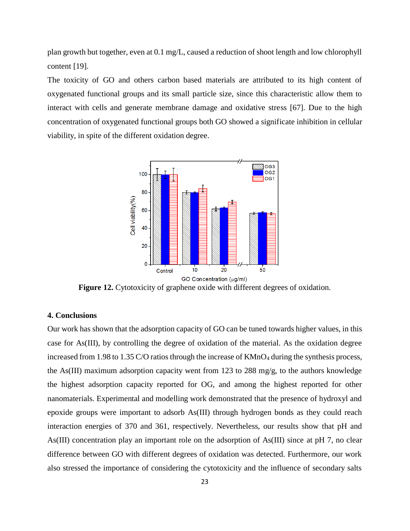plan growth but together, even at 0.1 mg/L, caused a reduction of shoot length and low chlorophyll content [19].

The toxicity of GO and others carbon based materials are attributed to its high content of oxygenated functional groups and its small particle size, since this characteristic allow them to interact with cells and generate membrane damage and oxidative stress [67]. Due to the high concentration of oxygenated functional groups both GO showed a significate inhibition in cellular viability, in spite of the different oxidation degree.



Figure 12. Cytotoxicity of graphene oxide with different degrees of oxidation.

# **4. Conclusions**

Our work has shown that the adsorption capacity of GO can be tuned towards higher values, in this case for As(III), by controlling the degree of oxidation of the material. As the oxidation degree increased from 1.98 to 1.35 C/O ratios through the increase of KMnO<sub>4</sub> during the synthesis process, the As(III) maximum adsorption capacity went from 123 to 288 mg/g, to the authors knowledge the highest adsorption capacity reported for OG, and among the highest reported for other nanomaterials. Experimental and modelling work demonstrated that the presence of hydroxyl and epoxide groups were important to adsorb As(III) through hydrogen bonds as they could reach interaction energies of 370 and 361, respectively. Nevertheless, our results show that pH and As(III) concentration play an important role on the adsorption of As(III) since at pH 7, no clear difference between GO with different degrees of oxidation was detected. Furthermore, our work also stressed the importance of considering the cytotoxicity and the influence of secondary salts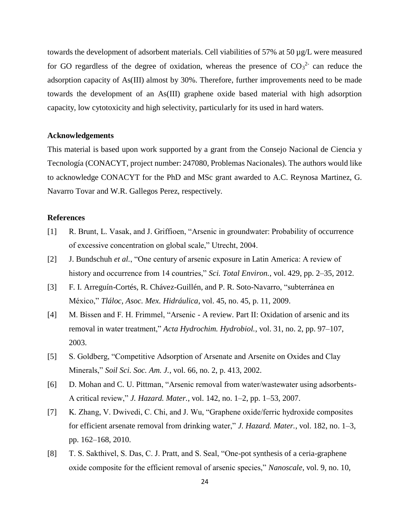towards the development of adsorbent materials. Cell viabilities of 57% at 50 µg/L were measured for GO regardless of the degree of oxidation, whereas the presence of  $CO<sub>3</sub><sup>2</sup>$  can reduce the adsorption capacity of As(III) almost by 30%. Therefore, further improvements need to be made towards the development of an As(III) graphene oxide based material with high adsorption capacity, low cytotoxicity and high selectivity, particularly for its used in hard waters.

### **Acknowledgements**

This material is based upon work supported by a grant from the Consejo Nacional de Ciencia y Tecnología (CONACYT, project number: 247080, Problemas Nacionales). The authors would like to acknowledge CONACYT for the PhD and MSc grant awarded to A.C. Reynosa Martinez, G. Navarro Tovar and W.R. Gallegos Perez, respectively.

# **References**

- [1] R. Brunt, L. Vasak, and J. Griffioen, "Arsenic in groundwater: Probability of occurrence of excessive concentration on global scale," Utrecht, 2004.
- [2] J. Bundschuh *et al.*, "One century of arsenic exposure in Latin America: A review of history and occurrence from 14 countries," *Sci. Total Environ.*, vol. 429, pp. 2–35, 2012.
- [3] F. I. Arreguín-Cortés, R. Chávez-Guillén, and P. R. Soto-Navarro, "subterránea en México," *Tláloc, Asoc. Mex. Hidráulica*, vol. 45, no. 45, p. 11, 2009.
- [4] M. Bissen and F. H. Frimmel, "Arsenic A review. Part II: Oxidation of arsenic and its removal in water treatment," *Acta Hydrochim. Hydrobiol.*, vol. 31, no. 2, pp. 97–107, 2003.
- [5] S. Goldberg, "Competitive Adsorption of Arsenate and Arsenite on Oxides and Clay Minerals," *Soil Sci. Soc. Am. J.*, vol. 66, no. 2, p. 413, 2002.
- [6] D. Mohan and C. U. Pittman, "Arsenic removal from water/wastewater using adsorbents-A critical review," *J. Hazard. Mater.*, vol. 142, no. 1–2, pp. 1–53, 2007.
- [7] K. Zhang, V. Dwivedi, C. Chi, and J. Wu, "Graphene oxide/ferric hydroxide composites for efficient arsenate removal from drinking water," *J. Hazard. Mater.*, vol. 182, no. 1–3, pp. 162–168, 2010.
- [8] T. S. Sakthivel, S. Das, C. J. Pratt, and S. Seal, "One-pot synthesis of a ceria-graphene oxide composite for the efficient removal of arsenic species," *Nanoscale*, vol. 9, no. 10,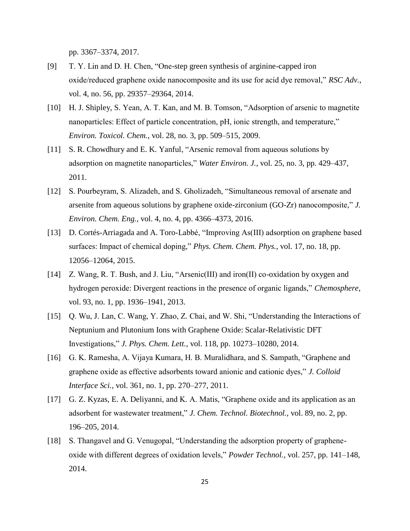pp. 3367–3374, 2017.

- [9] T. Y. Lin and D. H. Chen, "One-step green synthesis of arginine-capped iron oxide/reduced graphene oxide nanocomposite and its use for acid dye removal," *RSC Adv.*, vol. 4, no. 56, pp. 29357–29364, 2014.
- [10] H. J. Shipley, S. Yean, A. T. Kan, and M. B. Tomson, "Adsorption of arsenic to magnetite nanoparticles: Effect of particle concentration, pH, ionic strength, and temperature," *Environ. Toxicol. Chem.*, vol. 28, no. 3, pp. 509–515, 2009.
- [11] S. R. Chowdhury and E. K. Yanful, "Arsenic removal from aqueous solutions by adsorption on magnetite nanoparticles," *Water Environ. J.*, vol. 25, no. 3, pp. 429–437, 2011.
- [12] S. Pourbeyram, S. Alizadeh, and S. Gholizadeh, "Simultaneous removal of arsenate and arsenite from aqueous solutions by graphene oxide-zirconium (GO-Zr) nanocomposite," *J. Environ. Chem. Eng.*, vol. 4, no. 4, pp. 4366–4373, 2016.
- [13] D. Cortés-Arriagada and A. Toro-Labbé, "Improving As(III) adsorption on graphene based surfaces: Impact of chemical doping," *Phys. Chem. Chem. Phys.*, vol. 17, no. 18, pp. 12056–12064, 2015.
- [14] Z. Wang, R. T. Bush, and J. Liu, "Arsenic(III) and iron(II) co-oxidation by oxygen and hydrogen peroxide: Divergent reactions in the presence of organic ligands," *Chemosphere*, vol. 93, no. 1, pp. 1936–1941, 2013.
- [15] Q. Wu, J. Lan, C. Wang, Y. Zhao, Z. Chai, and W. Shi, "Understanding the Interactions of Neptunium and Plutonium Ions with Graphene Oxide: Scalar-Relativistic DFT Investigations," *J. Phys. Chem. Lett.*, vol. 118, pp. 10273–10280, 2014.
- [16] G. K. Ramesha, A. Vijaya Kumara, H. B. Muralidhara, and S. Sampath, "Graphene and graphene oxide as effective adsorbents toward anionic and cationic dyes," *J. Colloid Interface Sci.*, vol. 361, no. 1, pp. 270–277, 2011.
- [17] G. Z. Kyzas, E. A. Deliyanni, and K. A. Matis, "Graphene oxide and its application as an adsorbent for wastewater treatment," *J. Chem. Technol. Biotechnol.*, vol. 89, no. 2, pp. 196–205, 2014.
- [18] S. Thangavel and G. Venugopal, "Understanding the adsorption property of grapheneoxide with different degrees of oxidation levels," *Powder Technol.*, vol. 257, pp. 141–148, 2014.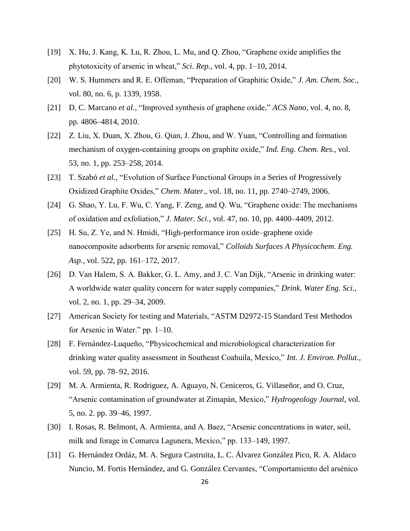- [19] X. Hu, J. Kang, K. Lu, R. Zhou, L. Mu, and Q. Zhou, "Graphene oxide amplifies the phytotoxicity of arsenic in wheat," *Sci. Rep.*, vol. 4, pp. 1–10, 2014.
- [20] W. S. Hummers and R. E. Offeman, "Preparation of Graphitic Oxide," *J. Am. Chem. Soc.*, vol. 80, no. 6, p. 1339, 1958.
- [21] D. C. Marcano *et al.*, "Improved synthesis of graphene oxide," *ACS Nano*, vol. 4, no. 8, pp. 4806–4814, 2010.
- [22] Z. Liu, X. Duan, X. Zhou, G. Qian, J. Zhou, and W. Yuan, "Controlling and formation mechanism of oxygen-containing groups on graphite oxide," *Ind. Eng. Chem. Res.*, vol. 53, no. 1, pp. 253–258, 2014.
- [23] T. Szabó *et al.*, "Evolution of Surface Functional Groups in a Series of Progressively Oxidized Graphite Oxides," *Chem. Mater.*, vol. 18, no. 11, pp. 2740–2749, 2006.
- [24] G. Shao, Y. Lu, F. Wu, C. Yang, F. Zeng, and Q. Wu, "Graphene oxide: The mechanisms of oxidation and exfoliation," *J. Mater. Sci.*, vol. 47, no. 10, pp. 4400–4409, 2012.
- [25] H. Su, Z. Ye, and N. Hmidi, "High-performance iron oxide–graphene oxide nanocomposite adsorbents for arsenic removal," *Colloids Surfaces A Physicochem. Eng. Asp.*, vol. 522, pp. 161–172, 2017.
- [26] D. Van Halem, S. A. Bakker, G. L. Amy, and J. C. Van Dijk, "Arsenic in drinking water: A worldwide water quality concern for water supply companies," *Drink. Water Eng. Sci.*, vol. 2, no. 1, pp. 29–34, 2009.
- [27] American Society for testing and Materials, "ASTM D2972-15 Standard Test Methodos for Arsenic in Water." pp. 1–10.
- [28] F. Fernández-Luqueño, "Physicochemical and microbiological characterization for drinking water quality assessment in Southeast Coahuila, Mexico," *Int. J. Environ. Pollut.*, vol. 59, pp. 78–92, 2016.
- [29] M. A. Armienta, R. Rodriguez, A. Aguayo, N. Ceniceros, G. Villaseñor, and O. Cruz, "Arsenic contamination of groundwater at Zimapán, Mexico," *Hydrogeology Journal*, vol. 5, no. 2. pp. 39–46, 1997.
- [30] I. Rosas, R. Belmont, A. Armienta, and A. Baez, "Arsenic concentrations in water, soil, milk and forage in Comarca Lagunera, Mexico," pp. 133–149, 1997.
- [31] G. Hernández Ordáz, M. A. Segura Castruita, L. C. Álvarez González Pico, R. A. Aldaco Nuncio, M. Fortis Hernández, and G. González Cervantes, "Comportamiento del arsénico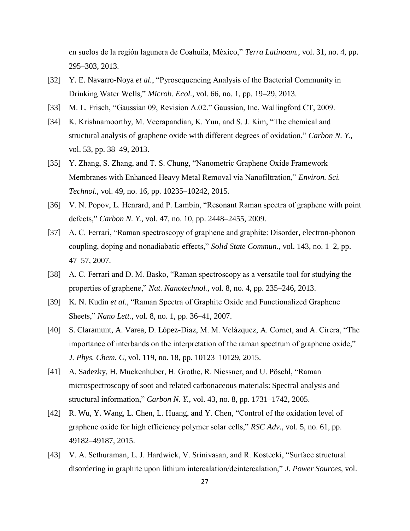en suelos de la región lagunera de Coahuila, México," *Terra Latinoam.*, vol. 31, no. 4, pp. 295–303, 2013.

- [32] Y. E. Navarro-Noya *et al.*, "Pyrosequencing Analysis of the Bacterial Community in Drinking Water Wells," *Microb. Ecol.*, vol. 66, no. 1, pp. 19–29, 2013.
- [33] M. L. Frisch, "Gaussian 09, Revision A.02." Gaussian, Inc, Wallingford CT, 2009.
- [34] K. Krishnamoorthy, M. Veerapandian, K. Yun, and S. J. Kim, "The chemical and structural analysis of graphene oxide with different degrees of oxidation," *Carbon N. Y.*, vol. 53, pp. 38–49, 2013.
- [35] Y. Zhang, S. Zhang, and T. S. Chung, "Nanometric Graphene Oxide Framework Membranes with Enhanced Heavy Metal Removal via Nanofiltration," *Environ. Sci. Technol.*, vol. 49, no. 16, pp. 10235–10242, 2015.
- [36] V. N. Popov, L. Henrard, and P. Lambin, "Resonant Raman spectra of graphene with point defects," *Carbon N. Y.*, vol. 47, no. 10, pp. 2448–2455, 2009.
- [37] A. C. Ferrari, "Raman spectroscopy of graphene and graphite: Disorder, electron-phonon coupling, doping and nonadiabatic effects," *Solid State Commun.*, vol. 143, no. 1–2, pp. 47–57, 2007.
- [38] A. C. Ferrari and D. M. Basko, "Raman spectroscopy as a versatile tool for studying the properties of graphene," *Nat. Nanotechnol.*, vol. 8, no. 4, pp. 235–246, 2013.
- [39] K. N. Kudin *et al.*, "Raman Spectra of Graphite Oxide and Functionalized Graphene Sheets," *Nano Lett.*, vol. 8, no. 1, pp. 36–41, 2007.
- [40] S. Claramunt, A. Varea, D. López-Díaz, M. M. Velázquez, A. Cornet, and A. Cirera, "The importance of interbands on the interpretation of the raman spectrum of graphene oxide," *J. Phys. Chem. C*, vol. 119, no. 18, pp. 10123–10129, 2015.
- [41] A. Sadezky, H. Muckenhuber, H. Grothe, R. Niessner, and U. Pöschl, "Raman microspectroscopy of soot and related carbonaceous materials: Spectral analysis and structural information," *Carbon N. Y.*, vol. 43, no. 8, pp. 1731–1742, 2005.
- [42] R. Wu, Y. Wang, L. Chen, L. Huang, and Y. Chen, "Control of the oxidation level of graphene oxide for high efficiency polymer solar cells," *RSC Adv.*, vol. 5, no. 61, pp. 49182–49187, 2015.
- [43] V. A. Sethuraman, L. J. Hardwick, V. Srinivasan, and R. Kostecki, "Surface structural disordering in graphite upon lithium intercalation/deintercalation," *J. Power Sources*, vol.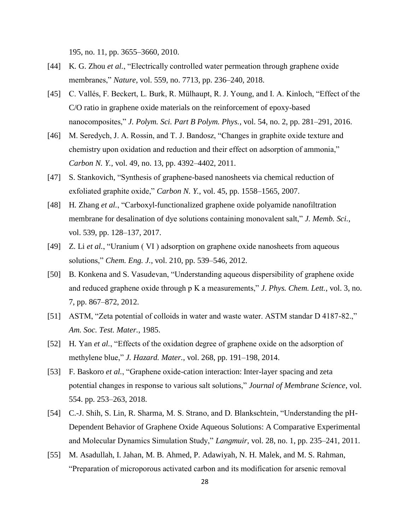195, no. 11, pp. 3655–3660, 2010.

- [44] K. G. Zhou *et al.*, "Electrically controlled water permeation through graphene oxide membranes," *Nature*, vol. 559, no. 7713, pp. 236–240, 2018.
- [45] C. Vallés, F. Beckert, L. Burk, R. Mülhaupt, R. J. Young, and I. A. Kinloch, "Effect of the C/O ratio in graphene oxide materials on the reinforcement of epoxy-based nanocomposites," *J. Polym. Sci. Part B Polym. Phys.*, vol. 54, no. 2, pp. 281–291, 2016.
- [46] M. Seredych, J. A. Rossin, and T. J. Bandosz, "Changes in graphite oxide texture and chemistry upon oxidation and reduction and their effect on adsorption of ammonia," *Carbon N. Y.*, vol. 49, no. 13, pp. 4392–4402, 2011.
- [47] S. Stankovich, "Synthesis of graphene-based nanosheets via chemical reduction of exfoliated graphite oxide," *Carbon N. Y.*, vol. 45, pp. 1558–1565, 2007.
- [48] H. Zhang *et al.*, "Carboxyl-functionalized graphene oxide polyamide nanofiltration membrane for desalination of dye solutions containing monovalent salt," *J. Memb. Sci.*, vol. 539, pp. 128–137, 2017.
- [49] Z. Li *et al.*, "Uranium ( VI ) adsorption on graphene oxide nanosheets from aqueous solutions," *Chem. Eng. J.*, vol. 210, pp. 539–546, 2012.
- [50] B. Konkena and S. Vasudevan, "Understanding aqueous dispersibility of graphene oxide and reduced graphene oxide through p K a measurements," *J. Phys. Chem. Lett.*, vol. 3, no. 7, pp. 867–872, 2012.
- [51] ASTM, "Zeta potential of colloids in water and waste water. ASTM standar D 4187-82.," *Am. Soc. Test. Mater.*, 1985.
- [52] H. Yan *et al.*, "Effects of the oxidation degree of graphene oxide on the adsorption of methylene blue," *J. Hazard. Mater.*, vol. 268, pp. 191–198, 2014.
- [53] F. Baskoro *et al.*, "Graphene oxide-cation interaction: Inter-layer spacing and zeta potential changes in response to various salt solutions," *Journal of Membrane Science*, vol. 554. pp. 253–263, 2018.
- [54] C.-J. Shih, S. Lin, R. Sharma, M. S. Strano, and D. Blankschtein, "Understanding the pH-Dependent Behavior of Graphene Oxide Aqueous Solutions: A Comparative Experimental and Molecular Dynamics Simulation Study," *Langmuir*, vol. 28, no. 1, pp. 235–241, 2011.
- [55] M. Asadullah, I. Jahan, M. B. Ahmed, P. Adawiyah, N. H. Malek, and M. S. Rahman, "Preparation of microporous activated carbon and its modification for arsenic removal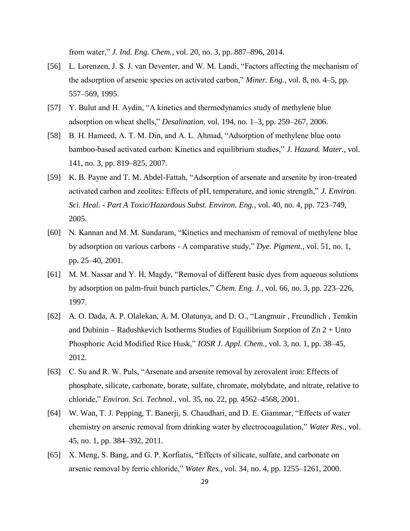from water," *J. Ind. Eng. Chem.*, vol. 20, no. 3, pp. 887–896, 2014.

- [56] L. Lorenzen, J. S. J. van Deventer, and W. M. Landi, "Factors affecting the mechanism of the adsorption of arsenic species on activated carbon," *Miner. Eng.*, vol. 8, no. 4–5, pp. 557–569, 1995.
- [57] Y. Bulut and H. Aydin, "A kinetics and thermodynamics study of methylene blue adsorption on wheat shells," *Desalination*, vol. 194, no. 1–3, pp. 259–267, 2006.
- [58] B. H. Hameed, A. T. M. Din, and A. L. Ahmad, "Adsorption of methylene blue onto bamboo-based activated carbon: Kinetics and equilibrium studies," *J. Hazard. Mater.*, vol. 141, no. 3, pp. 819–825, 2007.
- [59] K. B. Payne and T. M. Abdel-Fattah, "Adsorption of arsenate and arsenite by iron-treated activated carbon and zeolites: Effects of pH, temperature, and ionic strength," *J. Environ. Sci. Heal. - Part A Toxic/Hazardous Subst. Environ. Eng.*, vol. 40, no. 4, pp. 723–749, 2005.
- [60] N. Kannan and M. M. Sundaram, "Kinetics and mechanism of removal of methylene blue by adsorption on various carbons - A comparative study," *Dye. Pigment.*, vol. 51, no. 1, pp. 25–40, 2001.
- [61] M. M. Nassar and Y. H. Magdy, "Removal of different basic dyes from aqueous solutions by adsorption on palm-fruit bunch particles," *Chem. Eng. J.*, vol. 66, no. 3, pp. 223–226, 1997.
- [62] A. O. Dada, A. P. Olalekan, A. M. Olatunya, and D. O., "Langmuir , Freundlich , Temkin and Dubinin – Radushkevich Isotherms Studies of Equilibrium Sorption of  $Zn 2 + Unto$ Phosphoric Acid Modified Rice Husk," *IOSR J. Appl. Chem.*, vol. 3, no. 1, pp. 38–45, 2012.
- [63] C. Su and R. W. Puls, "Arsenate and arsenite removal by zerovalent iron: Effects of phosphate, silicate, carbonate, borate, sulfate, chromate, molybdate, and nitrate, relative to chloride," *Environ. Sci. Technol.*, vol. 35, no. 22, pp. 4562–4568, 2001.
- [64] W. Wan, T. J. Pepping, T. Banerji, S. Chaudhari, and D. E. Giammar, "Effects of water chemistry on arsenic removal from drinking water by electrocoagulation," *Water Res.*, vol. 45, no. 1, pp. 384–392, 2011.
- [65] X. Meng, S. Bang, and G. P. Korfiatis, "Effects of silicate, sulfate, and carbonate on arsenic removal by ferric chloride," *Water Res.*, vol. 34, no. 4, pp. 1255–1261, 2000.